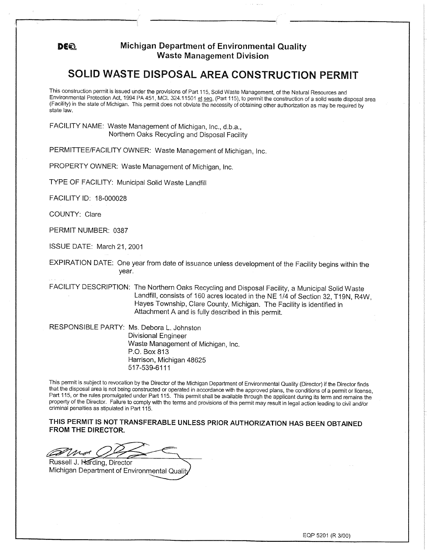## **DEE Michigan Department of Environmental Quality Waste Management Division**

## **SOLID WASTE DISPOSAL AREA CONSTRUCTION PERMIT**

This construction permit is issued under the provisions of Part 115, Solid Waste Management, of the Natural Resources and Environmental Protection Act, 1994 PA 451, MCL 324.11501 et seg, (Part 115), to permit the construction of a solid waste disposal area (Facility) in the state of Michigan. This permit does not obviate the necessity of obtaining other authorization as may be required by state law.

FACILITY NAME: Waste Management of Michigan, Inc., d.b.a., Northern Oaks Recycling and Disposal Facility

PERMITTEE/FACILITY OWNER: Waste Management of Michigan, Inc.

PROPERTY OWNER: Waste Management of Michigan, Inc.

TYPE OF FACILITY: Municipal Solid Waste Landfill

FACILITY ID: 18-000028

COUNTY: Clare

PERMIT NUMBER: 0387

ISSUE DATE: March 21, 2001

EXPIRATION DATE: One year from date of issuance unless development of the Facility begins within the year.

FACILITY DESCRIPTION: The Northern Oaks Recycling and Disposal Facility, a Municipal Solid Waste Landfill, consists of 160 acres located in the NE 1/4 of Section 32, T19N, R4W, Hayes Township, Clare County, Michigan. The Facility is identified in Attachment A and is fully described in this permit.

RESPONSIBLE PARTY: Ms. Debora L. Johnston Divisional Engineer Waste Management of Michigan, Inc. P.O. Box 813 Harrison, Michigan 48625 517-539-6111

This permit is subject to revocation by the Director of the Michigan Department of Environmental Quality (Director) if the Director finds that the disposal area is not being constructed or operated in accordance with the approved plans, the conditions of a permit or license, Part 115, or the rules promulgated under Part 115. This permit shall be available through the applicant during its term and remains the property of the Director. Failure to comply with the terms and provisions of this permit may result in legal action leading to civil and/or criminal penalties as stipulated in Part 115.

**THIS PERMIT IS NOT TRANSFERABLE UNLESS PRIOR AUTHORIZATION HAS BEEN OBTAINED FROM THE DIRECTOR.** 

*Ca*Ma

Russell J. Harding, Director Michigan Department of Environmental Qualit

EQP 5201 (R 3/00)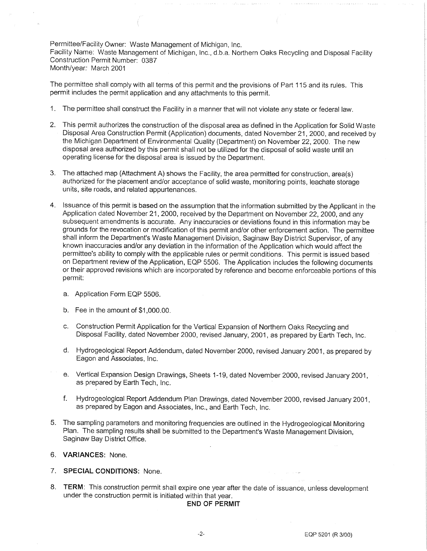Permittee/Facility Owner: Waste Management of Michigan, Inc. Facility Name: Waste Management of Michigan, Inc., d.b.a. Northern Oaks Recycling and Disposal Facility Construction Permit Number: 0387 Month/year: March 2001

The permittee shall comply with all terms of this permit and the provisions of Part 115 and its rules. This penmit includes the permit application and any attachments to this permit.

- 1. The permittee shall construct the Facility in a manner that will not violate any state or federal law.
- 2. This permit authorizes the construction of the disposal area as defined in the Application for Solid Waste Disposal Area Construction Permit (Application) documents, dated November 21, 2000, and received by the Michigan Department of Environmental Quality (Department) on November 22, 2000. The new disposal area authorized by this permit shall not be utilized for the disposal of solid waste until an operating license for the disposal area is issued by the Department.
- 3. The attached map (Attachment A) shows the Facility, the area permitted for construction, area(s) authorized for the placement and/or acceptance of solid waste, monitoring points, leachate storage units, site roads, and related appurtenances.
- 4. Issuance of this permit is based on the assumption that the information submitted by the Applicant in the Application dated November 21, 2000, received by the Department on November 22, 2000, and any subsequent amendments is accurate. Any inaccuracies or deviations found in this information may be grounds for the revocation or modification of this permit and/or other enforcement action. The permittee shall inform the Department's Waste Management Division, Saginaw Bay District Supervisor, of any known inaccuracies and/or any deviation in the information of the Application which would affect the permittee's ability to comply with the applicable rules or permit conditions. This permit is issued based on Department review of the Application, EQP 5506. The Application includes the following documents or their approved revisions which are incorporated by reference and become enforceable portions of this permit:
	- a. Application Form EQP 5506.
	- b. Fee in the amount of \$1 ,000.00.
	- c. Construction Permit Application for the Vertical Expansion of Northern Oaks Recycling and Disposal Facility, dated November 2000, revised January, 2001, as prepared by Earth Tech, Inc.
	- d. Hydrogeological Report Addendum, dated November 2000, revised January 2001, as prepared by Eagon and Associates, Inc.
	- e. Vertical Expansion Design Drawings, Sheets 1-19, dated November 2000, revised January 2001, as prepared by Earth Tech, Inc.
	- f. Hydrogeological Report Addendum Plan Drawings, dated November 2000, revised January 2001, as prepared by Eagon and Associates, Inc., and Earth Tech, Inc.
- 5. The sampling parameters and monitoring frequencies are outlined in the Hydrogeological Monitoring Plan. The sampling results shall be submitted to the Department's Waste Management Division, Saginaw Bay District Office.
- 6. **VARIANCES:** None.
- 7. **SPECIAL CONDITIONS:** None.
- 8. **TERM:** This construction permit shall expire one year after the date of issuance, unless development under the construction permit is initiated within that year.

## **END OF PERMIT**